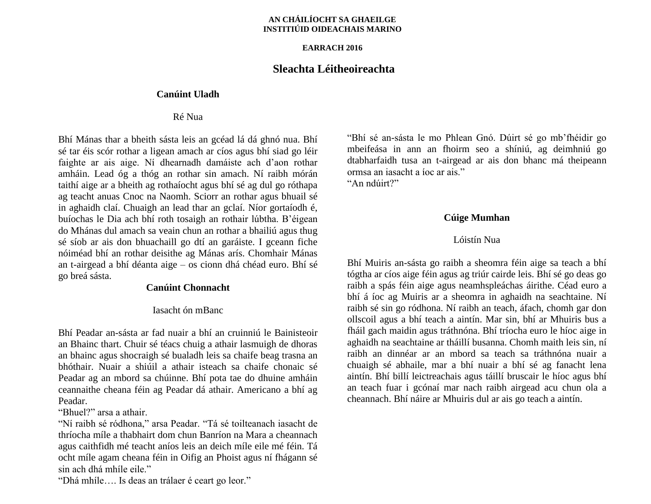#### **AN CHÁILÍOCHT SA GHAEILGE INSTITIÚID OIDEACHAIS MARINO**

#### **EARRACH 2016**

## **Sleachta Léitheoireachta**

#### **Canúint Uladh**

### Ré Nua

Bhí Mánas thar a bheith sásta leis an gcéad lá dá ghnó nua. Bhí sé tar éis scór rothar a ligean amach ar cíos agus bhí siad go léir faighte ar ais aige. Ní dhearnadh damáiste ach d'aon rothar amháin. Lead óg a thóg an rothar sin amach. Ní raibh mórán taithí aige ar a bheith ag rothaíocht agus bhí sé ag dul go róthapa ag teacht anuas Cnoc na Naomh. Sciorr an rothar agus bhuail sé in aghaidh claí. Chuaigh an lead thar an gclaí. Níor gortaíodh é, buíochas le Dia ach bhí roth tosaigh an rothair lúbtha. B'éigean do Mhánas dul amach sa veain chun an rothar a bhailiú agus thug sé síob ar ais don bhuachaill go dtí an garáiste. I gceann fiche nóiméad bhí an rothar deisithe ag Mánas arís. Chomhair Mánas an t-airgead a bhí déanta aige – os cionn dhá chéad euro. Bhí sé go breá sásta.

### **Canúint Chonnacht**

#### Iasacht ón mBanc

Bhí Peadar an-sásta ar fad nuair a bhí an cruinniú le Bainisteoir an Bhainc thart. Chuir sé téacs chuig a athair lasmuigh de dhoras an bhainc agus shocraigh sé bualadh leis sa chaife beag trasna an bhóthair. Nuair a shiúil a athair isteach sa chaife chonaic sé Peadar ag an mbord sa chúinne. Bhí pota tae do dhuine amháin ceannaithe cheana féin ag Peadar dá athair. Americano a bhí ag Peadar.

"Bhuel?" arsa a athair.

"Ní raibh sé ródhona," arsa Peadar. "Tá sé toilteanach iasacht de thríocha míle a thabhairt dom chun Banríon na Mara a cheannach agus caithfidh mé teacht aníos leis an deich míle eile mé féin. Tá ocht míle agam cheana féin in Oifig an Phoist agus ní fhágann sé sin ach dhá mhíle eile."

"Dhá mhíle…. Is deas an trálaer é ceart go leor."

"Bhí sé an-sásta le mo Phlean Gnó. Dúirt sé go mb'fhéidir go mbeifeása in ann an fhoirm seo a shíniú, ag deimhniú go dtabharfaidh tusa an t-airgead ar ais don bhanc má theipeann ormsa an iasacht a íoc ar ais."

"An ndúirt?"

### **Cúige Mumhan**

### Lóistín Nua

Bhí Muiris an-sásta go raibh a sheomra féin aige sa teach a bhí tógtha ar cíos aige féin agus ag triúr cairde leis. Bhí sé go deas go raibh a spás féin aige agus neamhspleáchas áirithe. Céad euro a bhí á íoc ag Muiris ar a sheomra in aghaidh na seachtaine. Ní raibh sé sin go ródhona. Ní raibh an teach, áfach, chomh gar don ollscoil agus a bhí teach a aintín. Mar sin, bhí ar Mhuiris bus a fháil gach maidin agus tráthnóna. Bhí tríocha euro le híoc aige in aghaidh na seachtaine ar tháillí busanna. Chomh maith leis sin, ní raibh an dinnéar ar an mbord sa teach sa tráthnóna nuair a chuaigh sé abhaile, mar a bhí nuair a bhí sé ag fanacht lena aintín. Bhí billí leictreachais agus táillí bruscair le híoc agus bhí an teach fuar i gcónaí mar nach raibh airgead acu chun ola a cheannach. Bhí náire ar Mhuiris dul ar ais go teach a aintín.